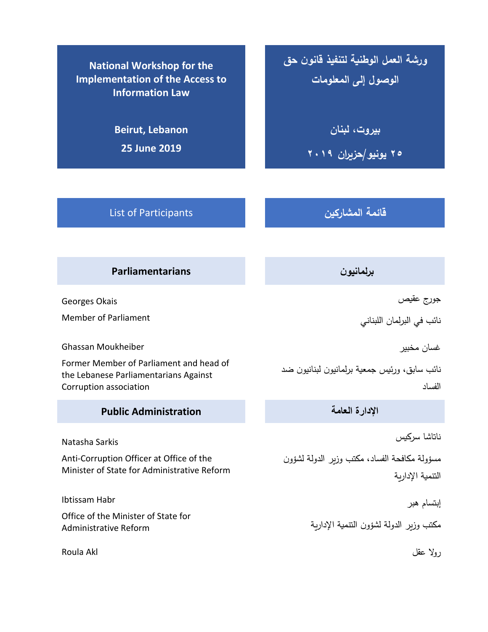**National Workshop for the Implementation of the Access to Information Law**

> **Beirut, Lebanon 25 June 2019**

**ورشة العمل الوطنية لتنفيذ قانون حق الوصول إلى المعلومات**

**بيروت، لبنان**

**25 يونيو/حزيران 2019**

List of Participants **المشاركين قائمة**

**برلمانيون Parliamentarians**

Georges Okais

Member of Parliament

Ghassan Moukheiber

Former Member of Parliament and head of the Lebanese Parliamentarians Against Corruption association

**اإلدارة العامة Administration Public**

Natasha Sarkis

Anti-Corruption Officer at Office of the Minister of State for Administrative Reform

Ibtissam Habr

Office of the Minister of State for Administrative Reform

روال عقل Akl Roula

جورج عقيص

نائب في البرلمان اللبناني

غسان مخبير

نائب سابق، ورئيس جمعية برلمانيون لبنانيون ضد الفساد

ناتاشا سركيس

مسؤولة مكافحة الفساد، مكتب وزير الدولة لشؤون التنمية اإلدارية

إبتسام هبر

مكتب وزير الدولة لشؤون التنمية اإلدارية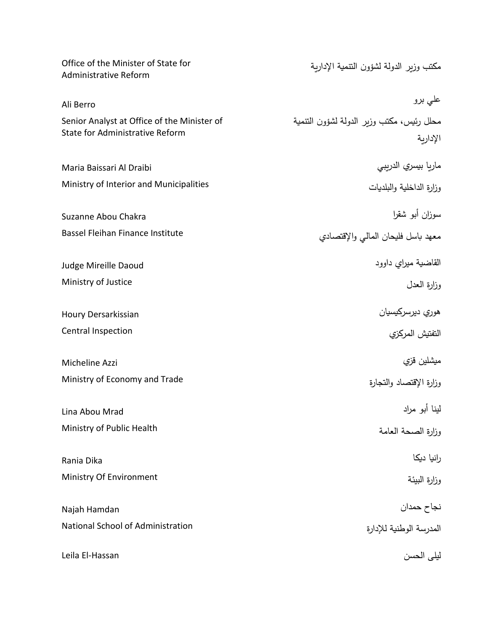| Office of the Minister of State for<br>Administrative Reform                   | مكتب وزير الدولة لشؤون التتمية الإدارية               |
|--------------------------------------------------------------------------------|-------------------------------------------------------|
| Ali Berro                                                                      | علي برو                                               |
| Senior Analyst at Office of the Minister of<br>State for Administrative Reform | محلل رئيس، مكتب وزير الدولة لشؤون التتمية<br>الإداربة |
| Maria Baissari Al Draibi                                                       | ماريا بيسري الدريبي                                   |
| Ministry of Interior and Municipalities                                        | وزارة الداخلية والبلديات                              |
| Suzanne Abou Chakra                                                            | سوزان أبو شقرا                                        |
| Bassel Fleihan Finance Institute                                               | معهد باسل فليحان المالى والإقتصادي                    |
| Judge Mireille Daoud                                                           | القاضية ميراي داوود                                   |
| Ministry of Justice                                                            | وزارة العدل                                           |
| Houry Dersarkissian                                                            | هوري ديرسركيسيان                                      |
| Central Inspection                                                             | التفتيش المركزي                                       |
| Micheline Azzi                                                                 | ميشلين قزي                                            |
| Ministry of Economy and Trade                                                  | وزارة الإقتصاد والتجارة                               |
| Lina Abou Mrad                                                                 | لينا أبو مراد                                         |
| Ministry of Public Health                                                      | وزارة الصحة العامة                                    |
| Rania Dika                                                                     | رانيا ديكا                                            |
| Ministry Of Environment                                                        | وزارة البيئة                                          |
| Najah Hamdan                                                                   | نجاح حمدان                                            |
| National School of Administration                                              | المدرسة الوطنية للإدارة                               |
| Leila El-Hassan                                                                | ليلى الحسن                                            |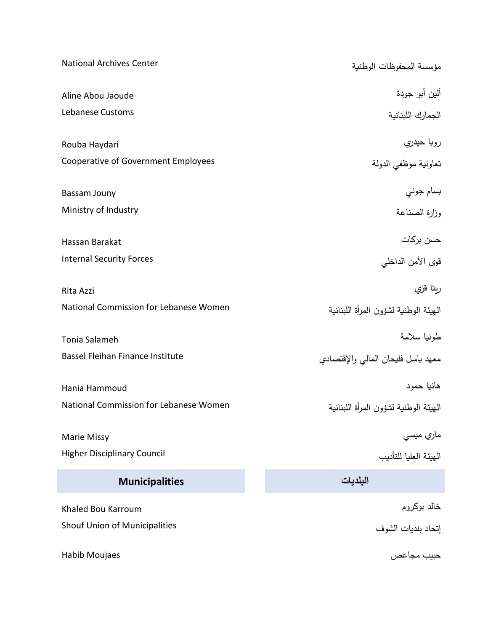| <b>National Archives Center</b>         | مؤسسة المحفوظات الوطنية               |
|-----------------------------------------|---------------------------------------|
| Aline Abou Jaoude                       | ألين أبو جودة                         |
| Lebanese Customs                        | الجمارك اللبنانية                     |
| Rouba Haydari                           | روبا حيدري                            |
| Cooperative of Government Employees     | تعاونية موظفى الدولة                  |
| Bassam Jouny                            | بسام جوني                             |
| Ministry of Industry                    | وزارة الصناعة                         |
| Hassan Barakat                          | حسن بركات                             |
| <b>Internal Security Forces</b>         | قوى الأمن الداخلي                     |
| Rita Azzi                               | ربتا قزي                              |
| National Commission for Lebanese Women  | الهيئة الوطنية لشؤون المرأة اللبنانية |
| Tonia Salameh                           | طونيا سلامة                           |
| <b>Bassel Fleihan Finance Institute</b> | معهد باسل فليحان المالي والإقتصادي    |
| Hania Hammoud                           | هانيا حمود                            |
| National Commission for Lebanese Women  | الهيئة الوطنية لشؤون المرأة اللبنانية |
| Marie Missy                             | ماري ميسي                             |
| <b>Higher Disciplinary Council</b>      | الهيئة العليا للتأديب                 |
| <b>Municipalities</b>                   | البلديات                              |
| Khaled Bou Karroum                      | خالد بوكروم                           |
| Shouf Union of Municipalities           | إتحاد بلديات الشوف                    |
| Habib Moujaes                           | حبيب مجاعص                            |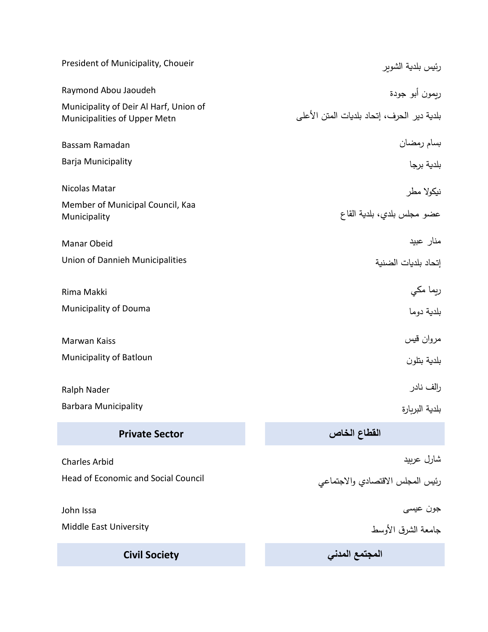| President of Municipality, Choueir                                     | رئيس بلدية الشوير                          |
|------------------------------------------------------------------------|--------------------------------------------|
| Raymond Abou Jaoudeh                                                   | ربمون أبو جودة                             |
| Municipality of Deir Al Harf, Union of<br>Municipalities of Upper Metn | بلدية دير الحرف، إتحاد بلديات المتن الأعلى |
| Bassam Ramadan                                                         |                                            |
| Barja Municipality                                                     | بسام رمضان<br>بلدية برجا                   |
| Nicolas Matar                                                          | نيكولا مطر                                 |
| Member of Municipal Council, Kaa<br>Municipality                       | عضو مجلس بلدي، بلدية القاع                 |
| Manar Obeid                                                            | منار عبيد                                  |
| Union of Dannieh Municipalities                                        | إتحاد بلديات الضنية                        |
| Rima Makki                                                             | ريما مکي                                   |
| Municipality of Douma                                                  | بلدية دوما                                 |
| Marwan Kaiss                                                           | مروان قيس                                  |
|                                                                        |                                            |
| <b>Municipality of Batloun</b>                                         | بلدية بتلون                                |
| Ralph Nader                                                            | رالف نادر                                  |
| <b>Barbara Municipality</b>                                            | بلدية البربارة                             |
| <b>Private Sector</b>                                                  | القطاع الخاص                               |
| <b>Charles Arbid</b>                                                   | شارل عربيد                                 |
| <b>Head of Economic and Social Council</b>                             | رئيس المجلس الاقتصادي والاجتماعي           |
| John Issa                                                              | جون عيسى                                   |
| Middle East University                                                 | جامعة الشرق الأوسط                         |
| <b>Civil Society</b>                                                   | المجتمع المدني                             |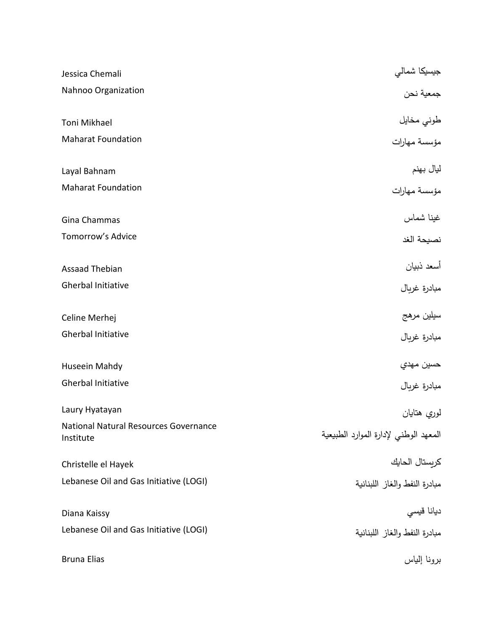| Jessica Chemali                                    | جيسيكا شمالي                          |
|----------------------------------------------------|---------------------------------------|
| Nahnoo Organization                                | جمعية نحن                             |
| Toni Mikhael                                       | طوني مخايل<br>مؤسسة مهارات            |
| <b>Maharat Foundation</b>                          |                                       |
| Layal Bahnam                                       | ليال بهنم                             |
| <b>Maharat Foundation</b>                          | مؤسسة مهارات                          |
| Gina Chammas                                       | غينا شماس                             |
| Tomorrow's Advice                                  | نصيحة الغد                            |
| <b>Assaad Thebian</b>                              | أسعد ذبيان                            |
| <b>Gherbal Initiative</b>                          | مبادرة غربال                          |
| Celine Merhej                                      | سيلين مرهج                            |
| <b>Gherbal Initiative</b>                          | مبادرة غربال                          |
| Huseein Mahdy                                      | حسين مهدي                             |
| <b>Gherbal Initiative</b>                          | مبادرة غربال                          |
| Laury Hyatayan                                     | لوري هتايان                           |
| National Natural Resources Governance<br>Institute | المعهد الوطني لإدارة الموارد الطبيعية |
| Christelle el Hayek                                | كريستال الحايك                        |
| Lebanese Oil and Gas Initiative (LOGI)             | مبادرة النفط والغاز اللبنانية         |
| Diana Kaissy                                       | ديانا قيسي                            |
| Lebanese Oil and Gas Initiative (LOGI)             | مبادرة النفط والغاز اللبنانية         |
| <b>Bruna Elias</b>                                 | برونا إلياس                           |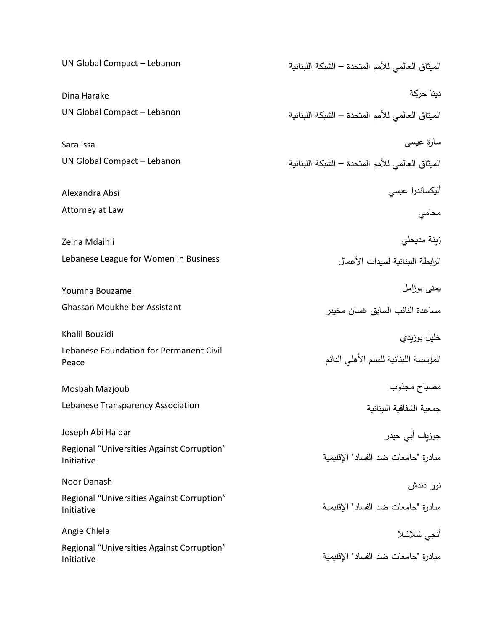| UN Global Compact - Lebanon                              | الميثاق العالمي للأمم المتحدة – الشبكة اللبنانية |
|----------------------------------------------------------|--------------------------------------------------|
| Dina Harake                                              | دينا حركة                                        |
| UN Global Compact - Lebanon                              | الميثاق العالمي للأمم المتحدة – الشبكة اللبنانية |
| Sara Issa                                                | سارة عيسى                                        |
| UN Global Compact - Lebanon                              | الميثاق العالمي للأمم المتحدة – الشبكة اللبنانية |
| Alexandra Absi                                           | أليكساندرا عبسي                                  |
| Attorney at Law                                          | محامي                                            |
| Zeina Mdaihli                                            | زينة مديحلي                                      |
| Lebanese League for Women in Business                    | الرابطة اللبنانية لسيدات الأعمال                 |
| Youmna Bouzamel                                          | يمني بوزامل                                      |
| Ghassan Moukheiber Assistant                             | مساعدة النائب السابق غسان مخيبر                  |
| Khalil Bouzidi                                           | خليل بوزبدي                                      |
| Lebanese Foundation for Permanent Civil<br>Peace         | المؤسسة اللبنانية للسلم الأهلى الدائم            |
| Mosbah Mazjoub                                           | مصباح مجذوب                                      |
| Lebanese Transparency Association                        | جمعية الشفافية اللبنانية                         |
| Joseph Abi Haidar                                        | جوزيف أبي حيدر                                   |
| Regional "Universities Against Corruption"<br>Initiative | مبادرة "جامعات ضد الفساد" الإقليمية              |
| Noor Danash                                              | نور دندش                                         |
| Regional "Universities Against Corruption"<br>Initiative | مبادرة "جامعات ضد الفساد" الإقليمية              |
| Angie Chlela                                             | أنجى شلاشلا                                      |
| Regional "Universities Against Corruption"<br>Initiative | مبادرة "جامعات ضد الفساد" الإقليمية              |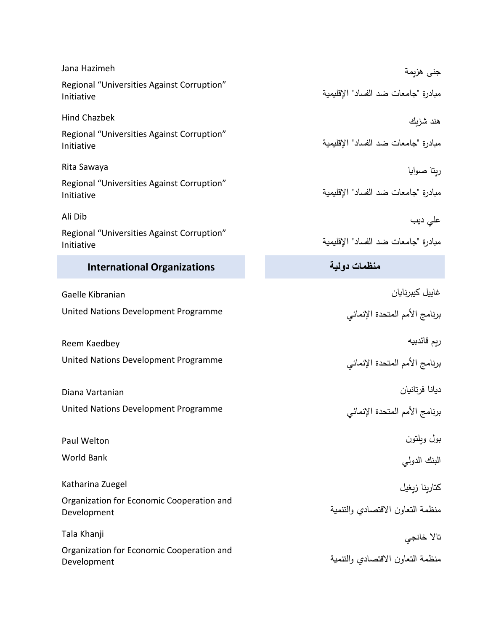| Jana Hazimeh                                             | جنى هزيمة                           |
|----------------------------------------------------------|-------------------------------------|
| Regional "Universities Against Corruption"<br>Initiative | مبادرة "جامعات ضد الفساد" الإقليمية |
| <b>Hind Chazbek</b>                                      | هند شزبك                            |
| Regional "Universities Against Corruption"<br>Initiative | مبادرة "جامعات ضد الفساد" الإقليمية |
| Rita Sawaya                                              | ربتا صوايا                          |
| Regional "Universities Against Corruption"<br>Initiative | مبادرة "جامعات ضد الفساد" الإقليمية |
| Ali Dib                                                  | على ديب                             |
| Regional "Universities Against Corruption"<br>Initiative | مبادرة "جامعات ضد الفساد" الإقليمية |
| <b>International Organizations</b>                       | منظمات دولية                        |
| Gaelle Kibranian                                         | غاييل كيبرنايان                     |
| United Nations Development Programme                     | برنامج الأمم المتحدة الإنمائي       |
| Reem Kaedbey                                             | ربم قائدبيه                         |
| United Nations Development Programme                     | برنامج الأمم المتحدة الإنمائي       |
| Diana Vartanian                                          | ديانا فرتانيان                      |
| United Nations Development Programme                     | برنامج الأمم المتحدة الإنمائي       |
| Paul Welton                                              | بول ويلتون                          |
| <b>World Bank</b>                                        | البنك الدولي                        |
| Katharina Zuegel                                         | كتاربنا زبغيل                       |
| Organization for Economic Cooperation and<br>Development | منظمة التعاون الاقتصادي والتتمية    |
| Tala Khanji                                              | تالا خانجي                          |
| Organization for Economic Cooperation and<br>Development | منظمة التعاون الاقتصادي والتتمية    |